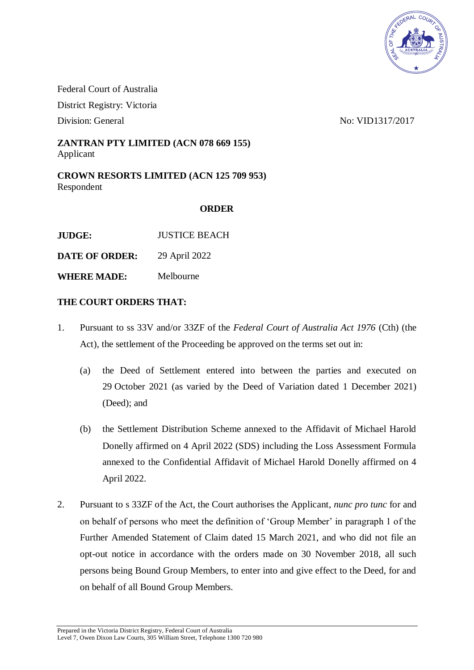

Federal Court of Australia

District Registry: Victoria

Division: General No: VID1317/2017

## **ZANTRAN PTY LIMITED (ACN 078 669 155)** Applicant

**CROWN RESORTS LIMITED (ACN 125 709 953)** Respondent

# **ORDER**

**JUDGE:** JUSTICE BEACH

**DATE OF ORDER:** 29 April 2022

**WHERE MADE:** Melbourne

# **THE COURT ORDERS THAT:**

- 1. Pursuant to ss 33V and/or 33ZF of the *Federal Court of Australia Act 1976* (Cth) (the Act), the settlement of the Proceeding be approved on the terms set out in:
	- (a) the Deed of Settlement entered into between the parties and executed on 29 October 2021 (as varied by the Deed of Variation dated 1 December 2021) (Deed); and
	- (b) the Settlement Distribution Scheme annexed to the Affidavit of Michael Harold Donelly affirmed on 4 April 2022 (SDS) including the Loss Assessment Formula annexed to the Confidential Affidavit of Michael Harold Donelly affirmed on 4 April 2022.
- 2. Pursuant to s 33ZF of the Act, the Court authorises the Applicant, *nunc pro tunc* for and on behalf of persons who meet the definition of 'Group Member' in paragraph 1 of the Further Amended Statement of Claim dated 15 March 2021, and who did not file an opt-out notice in accordance with the orders made on 30 November 2018, all such persons being Bound Group Members, to enter into and give effect to the Deed, for and on behalf of all Bound Group Members.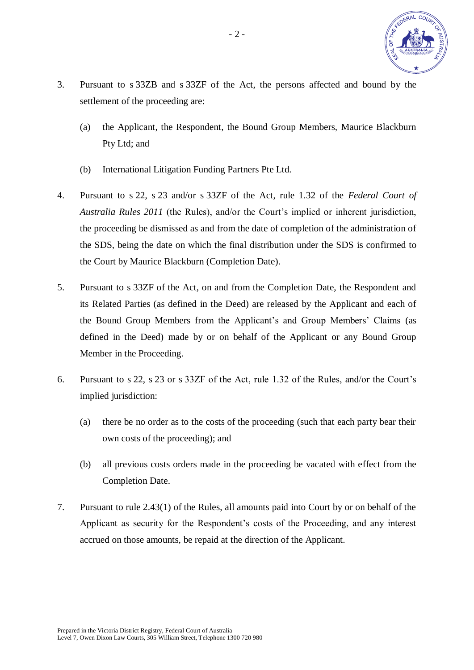

- 3. Pursuant to s 33ZB and s 33ZF of the Act, the persons affected and bound by the settlement of the proceeding are:
	- (a) the Applicant, the Respondent, the Bound Group Members, Maurice Blackburn Pty Ltd; and
	- (b) International Litigation Funding Partners Pte Ltd.
- 4. Pursuant to s 22, s 23 and/or s 33ZF of the Act, rule 1.32 of the *Federal Court of Australia Rules 2011* (the Rules), and/or the Court's implied or inherent jurisdiction, the proceeding be dismissed as and from the date of completion of the administration of the SDS, being the date on which the final distribution under the SDS is confirmed to the Court by Maurice Blackburn (Completion Date).
- 5. Pursuant to s 33ZF of the Act, on and from the Completion Date, the Respondent and its Related Parties (as defined in the Deed) are released by the Applicant and each of the Bound Group Members from the Applicant's and Group Members' Claims (as defined in the Deed) made by or on behalf of the Applicant or any Bound Group Member in the Proceeding.
- 6. Pursuant to s 22, s 23 or s 33ZF of the Act, rule 1.32 of the Rules, and/or the Court's implied jurisdiction:
	- (a) there be no order as to the costs of the proceeding (such that each party bear their own costs of the proceeding); and
	- (b) all previous costs orders made in the proceeding be vacated with effect from the Completion Date.
- 7. Pursuant to rule 2.43(1) of the Rules, all amounts paid into Court by or on behalf of the Applicant as security for the Respondent's costs of the Proceeding, and any interest accrued on those amounts, be repaid at the direction of the Applicant.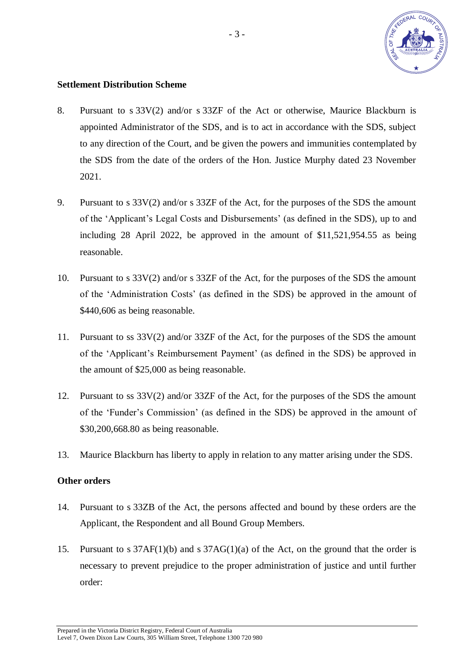

#### **Settlement Distribution Scheme**

- 8. Pursuant to s 33V(2) and/or s 33ZF of the Act or otherwise, Maurice Blackburn is appointed Administrator of the SDS, and is to act in accordance with the SDS, subject to any direction of the Court, and be given the powers and immunities contemplated by the SDS from the date of the orders of the Hon. Justice Murphy dated 23 November 2021.
- 9. Pursuant to s 33V(2) and/or s 33ZF of the Act, for the purposes of the SDS the amount of the 'Applicant's Legal Costs and Disbursements' (as defined in the SDS), up to and including 28 April 2022, be approved in the amount of \$11,521,954.55 as being reasonable.
- 10. Pursuant to s 33V(2) and/or s 33ZF of the Act, for the purposes of the SDS the amount of the 'Administration Costs' (as defined in the SDS) be approved in the amount of \$440,606 as being reasonable.
- 11. Pursuant to ss 33V(2) and/or 33ZF of the Act, for the purposes of the SDS the amount of the 'Applicant's Reimbursement Payment' (as defined in the SDS) be approved in the amount of \$25,000 as being reasonable.
- 12. Pursuant to ss 33V(2) and/or 33ZF of the Act, for the purposes of the SDS the amount of the 'Funder's Commission' (as defined in the SDS) be approved in the amount of \$30,200,668.80 as being reasonable.
- 13. Maurice Blackburn has liberty to apply in relation to any matter arising under the SDS.

## **Other orders**

- 14. Pursuant to s 33ZB of the Act, the persons affected and bound by these orders are the Applicant, the Respondent and all Bound Group Members.
- 15. Pursuant to s 37AF(1)(b) and s 37AG(1)(a) of the Act, on the ground that the order is necessary to prevent prejudice to the proper administration of justice and until further order: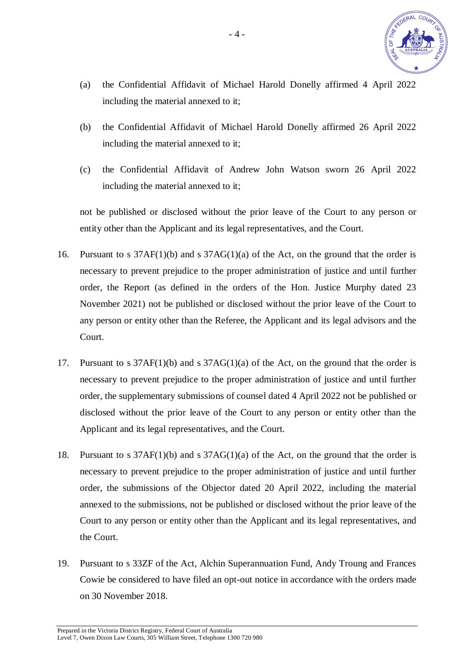

- (a) the Confidential Affidavit of Michael Harold Donelly affirmed 4 April 2022 including the material annexed to it;
- (b) the Confidential Affidavit of Michael Harold Donelly affirmed 26 April 2022 including the material annexed to it;
- (c) the Confidential Affidavit of Andrew John Watson sworn 26 April 2022 including the material annexed to it;

not be published or disclosed without the prior leave of the Court to any person or entity other than the Applicant and its legal representatives, and the Court.

- 16. Pursuant to s  $37AF(1)(b)$  and s  $37AG(1)(a)$  of the Act, on the ground that the order is necessary to prevent prejudice to the proper administration of justice and until further order, the Report (as defined in the orders of the Hon. Justice Murphy dated 23 November 2021) not be published or disclosed without the prior leave of the Court to any person or entity other than the Referee, the Applicant and its legal advisors and the Court.
- 17. Pursuant to s  $37AF(1)(b)$  and s  $37AG(1)(a)$  of the Act, on the ground that the order is necessary to prevent prejudice to the proper administration of justice and until further order, the supplementary submissions of counsel dated 4 April 2022 not be published or disclosed without the prior leave of the Court to any person or entity other than the Applicant and its legal representatives, and the Court.
- 18. Pursuant to s 37AF(1)(b) and s 37AG(1)(a) of the Act, on the ground that the order is necessary to prevent prejudice to the proper administration of justice and until further order, the submissions of the Objector dated 20 April 2022, including the material annexed to the submissions, not be published or disclosed without the prior leave of the Court to any person or entity other than the Applicant and its legal representatives, and the Court.
- 19. Pursuant to s 33ZF of the Act, Alchin Superannuation Fund, Andy Troung and Frances Cowie be considered to have filed an opt-out notice in accordance with the orders made on 30 November 2018.